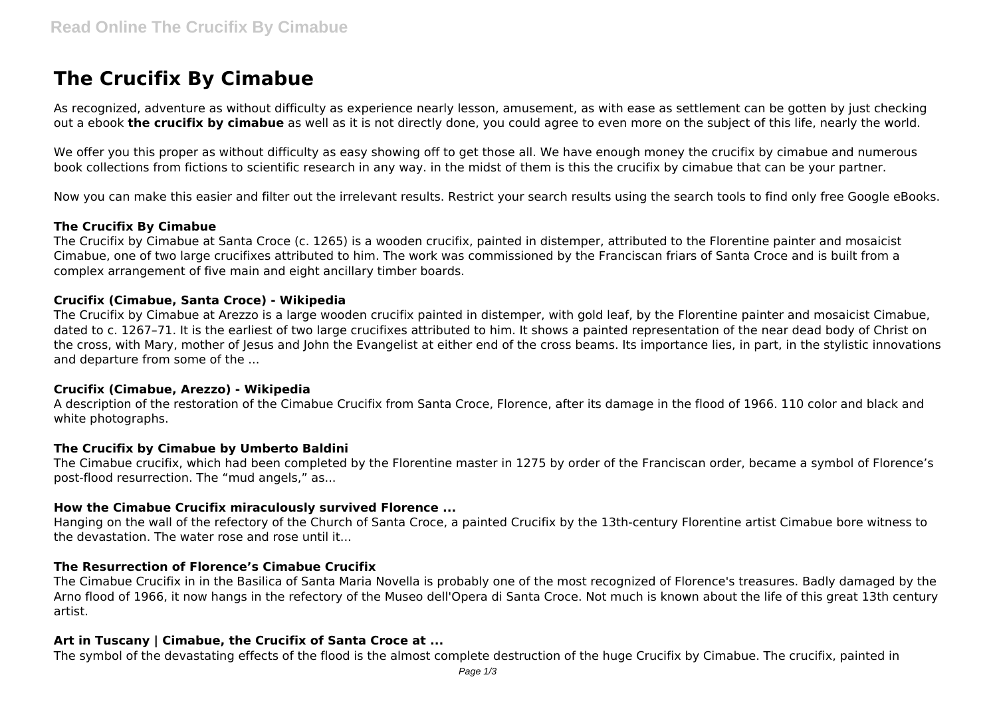# **The Crucifix By Cimabue**

As recognized, adventure as without difficulty as experience nearly lesson, amusement, as with ease as settlement can be gotten by just checking out a ebook **the crucifix by cimabue** as well as it is not directly done, you could agree to even more on the subject of this life, nearly the world.

We offer you this proper as without difficulty as easy showing off to get those all. We have enough money the crucifix by cimabue and numerous book collections from fictions to scientific research in any way. in the midst of them is this the crucifix by cimabue that can be your partner.

Now you can make this easier and filter out the irrelevant results. Restrict your search results using the search tools to find only free Google eBooks.

#### **The Crucifix By Cimabue**

The Crucifix by Cimabue at Santa Croce (c. 1265) is a wooden crucifix, painted in distemper, attributed to the Florentine painter and mosaicist Cimabue, one of two large crucifixes attributed to him. The work was commissioned by the Franciscan friars of Santa Croce and is built from a complex arrangement of five main and eight ancillary timber boards.

### **Crucifix (Cimabue, Santa Croce) - Wikipedia**

The Crucifix by Cimabue at Arezzo is a large wooden crucifix painted in distemper, with gold leaf, by the Florentine painter and mosaicist Cimabue, dated to c. 1267–71. It is the earliest of two large crucifixes attributed to him. It shows a painted representation of the near dead body of Christ on the cross, with Mary, mother of Jesus and John the Evangelist at either end of the cross beams. Its importance lies, in part, in the stylistic innovations and departure from some of the ...

#### **Crucifix (Cimabue, Arezzo) - Wikipedia**

A description of the restoration of the Cimabue Crucifix from Santa Croce, Florence, after its damage in the flood of 1966. 110 color and black and white photographs.

#### **The Crucifix by Cimabue by Umberto Baldini**

The Cimabue crucifix, which had been completed by the Florentine master in 1275 by order of the Franciscan order, became a symbol of Florence's post-flood resurrection. The "mud angels," as...

#### **How the Cimabue Crucifix miraculously survived Florence ...**

Hanging on the wall of the refectory of the Church of Santa Croce, a painted Crucifix by the 13th-century Florentine artist Cimabue bore witness to the devastation. The water rose and rose until it...

#### **The Resurrection of Florence's Cimabue Crucifix**

The Cimabue Crucifix in in the Basilica of Santa Maria Novella is probably one of the most recognized of Florence's treasures. Badly damaged by the Arno flood of 1966, it now hangs in the refectory of the Museo dell'Opera di Santa Croce. Not much is known about the life of this great 13th century artist.

#### **Art in Tuscany | Cimabue, the Crucifix of Santa Croce at ...**

The symbol of the devastating effects of the flood is the almost complete destruction of the huge Crucifix by Cimabue. The crucifix, painted in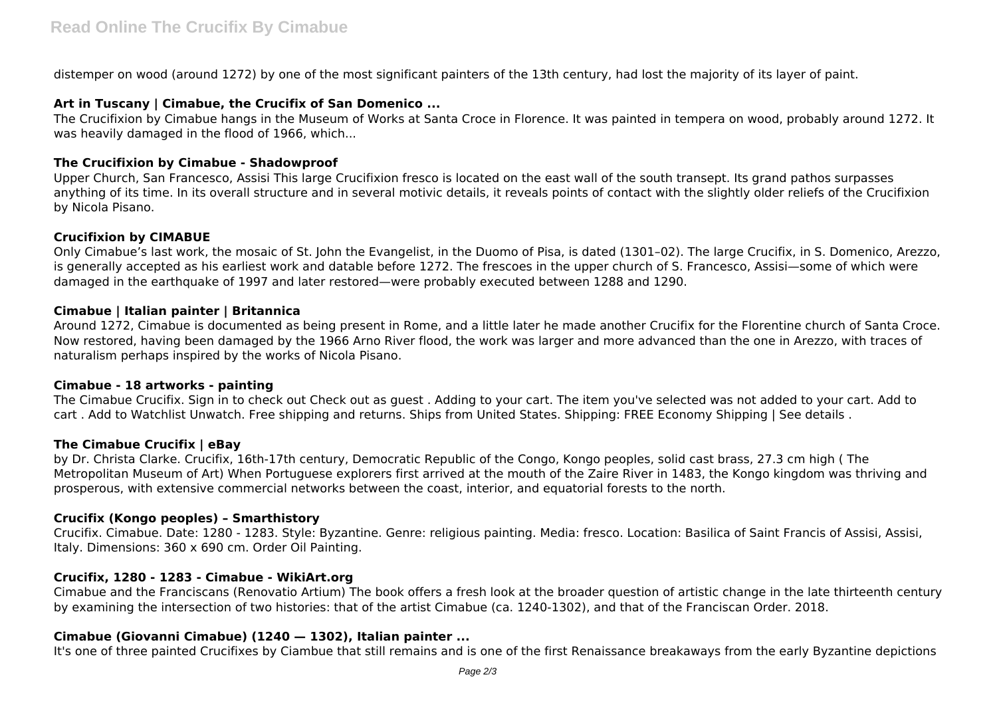distemper on wood (around 1272) by one of the most significant painters of the 13th century, had lost the majority of its layer of paint.

## **Art in Tuscany | Cimabue, the Crucifix of San Domenico ...**

The Crucifixion by Cimabue hangs in the Museum of Works at Santa Croce in Florence. It was painted in tempera on wood, probably around 1272. It was heavily damaged in the flood of 1966, which...

## **The Crucifixion by Cimabue - Shadowproof**

Upper Church, San Francesco, Assisi This large Crucifixion fresco is located on the east wall of the south transept. Its grand pathos surpasses anything of its time. In its overall structure and in several motivic details, it reveals points of contact with the slightly older reliefs of the Crucifixion by Nicola Pisano.

# **Crucifixion by CIMABUE**

Only Cimabue's last work, the mosaic of St. John the Evangelist, in the Duomo of Pisa, is dated (1301–02). The large Crucifix, in S. Domenico, Arezzo, is generally accepted as his earliest work and datable before 1272. The frescoes in the upper church of S. Francesco, Assisi—some of which were damaged in the earthquake of 1997 and later restored—were probably executed between 1288 and 1290.

### **Cimabue | Italian painter | Britannica**

Around 1272, Cimabue is documented as being present in Rome, and a little later he made another Crucifix for the Florentine church of Santa Croce. Now restored, having been damaged by the 1966 Arno River flood, the work was larger and more advanced than the one in Arezzo, with traces of naturalism perhaps inspired by the works of Nicola Pisano.

# **Cimabue - 18 artworks - painting**

The Cimabue Crucifix. Sign in to check out Check out as guest . Adding to your cart. The item you've selected was not added to your cart. Add to cart . Add to Watchlist Unwatch. Free shipping and returns. Ships from United States. Shipping: FREE Economy Shipping | See details .

# **The Cimabue Crucifix | eBay**

by Dr. Christa Clarke. Crucifix, 16th-17th century, Democratic Republic of the Congo, Kongo peoples, solid cast brass, 27.3 cm high ( The Metropolitan Museum of Art) When Portuguese explorers first arrived at the mouth of the Zaire River in 1483, the Kongo kingdom was thriving and prosperous, with extensive commercial networks between the coast, interior, and equatorial forests to the north.

# **Crucifix (Kongo peoples) – Smarthistory**

Crucifix. Cimabue. Date: 1280 - 1283. Style: Byzantine. Genre: religious painting. Media: fresco. Location: Basilica of Saint Francis of Assisi, Assisi, Italy. Dimensions: 360 x 690 cm. Order Oil Painting.

# **Crucifix, 1280 - 1283 - Cimabue - WikiArt.org**

Cimabue and the Franciscans (Renovatio Artium) The book offers a fresh look at the broader question of artistic change in the late thirteenth century by examining the intersection of two histories: that of the artist Cimabue (ca. 1240-1302), and that of the Franciscan Order. 2018.

# **Cimabue (Giovanni Cimabue) (1240 — 1302), Italian painter ...**

It's one of three painted Crucifixes by Ciambue that still remains and is one of the first Renaissance breakaways from the early Byzantine depictions